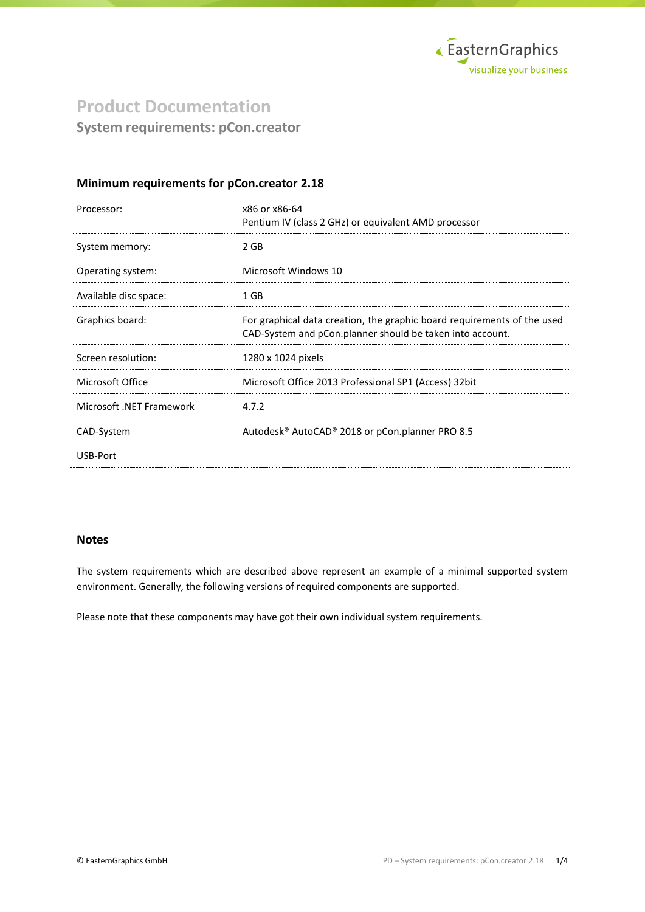

# **Product Documentation System requirements: pCon.creator**

### **Minimum requirements for pCon.creator 2.18**

| Processor:               | x86 or x86-64<br>Pentium IV (class 2 GHz) or equivalent AMD processor                                                                |
|--------------------------|--------------------------------------------------------------------------------------------------------------------------------------|
| System memory:           | 2 GB                                                                                                                                 |
| Operating system:        | Microsoft Windows 10                                                                                                                 |
| Available disc space:    | 1 GB                                                                                                                                 |
| Graphics board:          | For graphical data creation, the graphic board requirements of the used<br>CAD-System and pCon.planner should be taken into account. |
| Screen resolution:       | 1280 x 1024 pixels                                                                                                                   |
| Microsoft Office         | Microsoft Office 2013 Professional SP1 (Access) 32bit                                                                                |
| Microsoft .NET Framework | 4.7.2                                                                                                                                |
| CAD-System               | Autodesk <sup>®</sup> AutoCAD <sup>®</sup> 2018 or pCon.planner PRO 8.5                                                              |
| USB-Port                 |                                                                                                                                      |
|                          |                                                                                                                                      |

## **Notes**

The system requirements which are described above represent an example of a minimal supported system environment. Generally, the following versions of required components are supported.

Please note that these components may have got their own individual system requirements.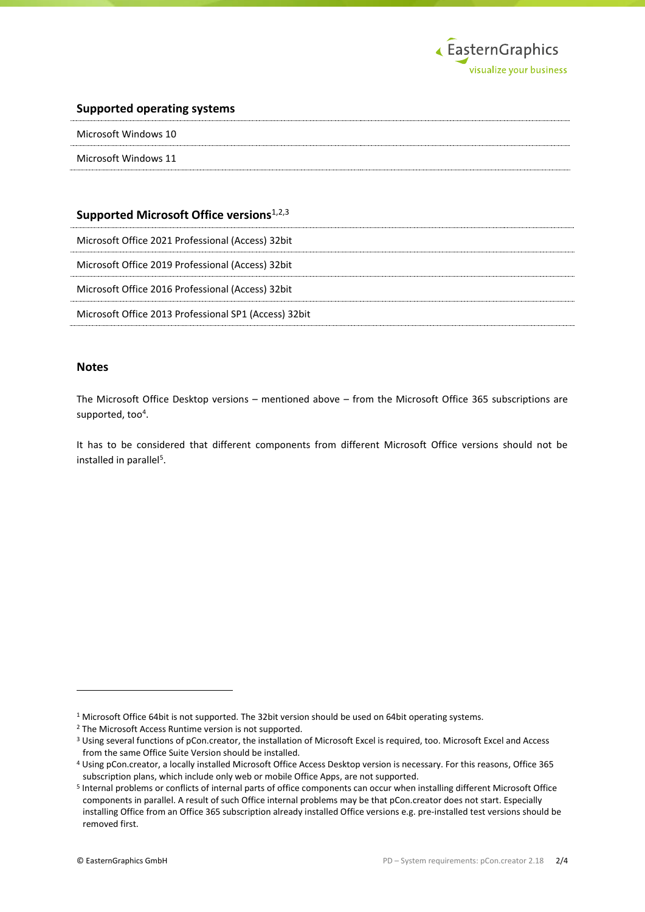

#### **Supported operating systems**

| Microsoft Windows 10 |
|----------------------|
| Microsoft Windows 11 |

## **Supported Microsoft Office versions**1,2,3

Microsoft Office 2021 Professional (Access) 32bit

Microsoft Office 2019 Professional (Access) 32bit

Microsoft Office 2016 Professional (Access) 32bit

Microsoft Office 2013 Professional SP1 (Access) 32bit

#### **Notes**

The Microsoft Office Desktop versions – mentioned above – from the Microsoft Office 365 subscriptions are supported, too<sup>4</sup>.

It has to be considered that different components from different Microsoft Office versions should not be installed in parallel<sup>5</sup>.

1

<sup>1</sup> Microsoft Office 64bit is not supported. The 32bit version should be used on 64bit operating systems.

<sup>2</sup> The Microsoft Access Runtime version is not supported.

<sup>3</sup> Using several functions of pCon.creator, the installation of Microsoft Excel is required, too. Microsoft Excel and Access from the same Office Suite Version should be installed.

<sup>4</sup> Using pCon.creator, a locally installed Microsoft Office Access Desktop version is necessary. For this reasons, Office 365 subscription plans, which include only web or mobile Office Apps, are not supported.

<sup>5</sup> Internal problems or conflicts of internal parts of office components can occur when installing different Microsoft Office components in parallel. A result of such Office internal problems may be that pCon.creator does not start. Especially installing Office from an Office 365 subscription already installed Office versions e.g. pre-installed test versions should be removed first.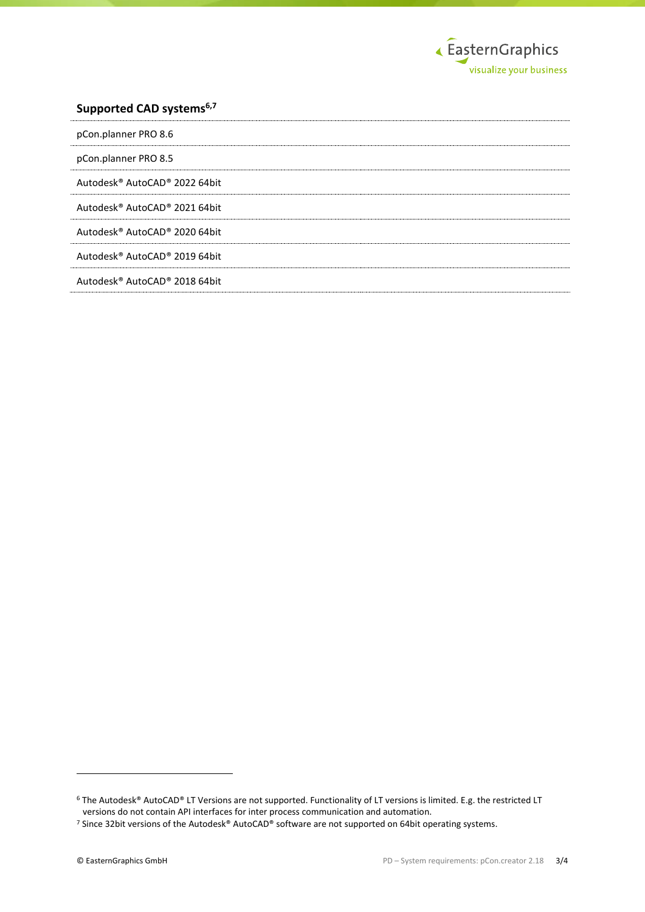

## **Supported CAD systems6,7**

| pCon.planner PRO 8.6          |
|-------------------------------|
| pCon.planner PRO 8.5          |
| Autodesk® AutoCAD® 2022 64bit |
| Autodesk® AutoCAD® 2021 64bit |
| Autodesk® AutoCAD® 2020 64bit |
| Autodesk® AutoCAD® 2019 64bit |
| Autodesk® AutoCAD® 2018 64bit |

1

<sup>6</sup> The Autodesk® AutoCAD® LT Versions are not supported. Functionality of LT versions is limited. E.g. the restricted LT versions do not contain API interfaces for inter process communication and automation.

<sup>7</sup> Since 32bit versions of the Autodesk® AutoCAD® software are not supported on 64bit operating systems.